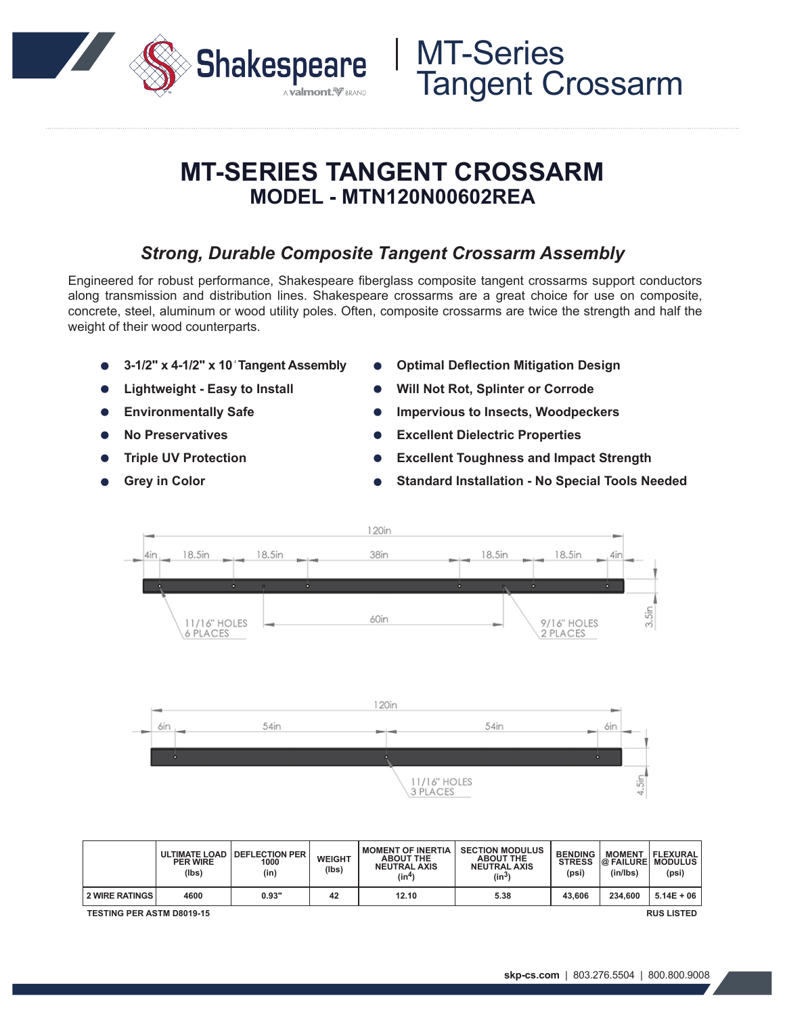

## **MT-SERIES TANGENT CROSSARM MODEL - MTN120N00602REA**

### *Strong, Durable Composite Tangent Crossarm Assembly*

Engineered for robust performance, Shakespeare fiberglass composite tangent crossarms support conductors along transmission and distribution lines. Shakespeare crossarms are a great choice for use on composite, concrete, steel, aluminum or wood utility poles. Often, composite crossarms are twice the strength and half the weight of their wood counterparts.

- **3-1/2" x 4-1/2" x 10***'* **Tangent Assembly**
- **Lightweight Easy to Install**
- **Environmentally Safe**
- **No Preservatives**
- **Triple UV Protection**
- **Grey in Color**
- **Optimal Deflection Mitigation Design**
- **Will Not Rot, Splinter or Corrode**
- **Impervious to Insects, Woodpeckers**
- **Excellent Dielectric Properties**
- **Excellent Toughness and Impact Strength**
- **Standard Installation No Special Tools Needed**



|                                                       | <b>PER WIRE</b><br>(lbs) | ULTIMATE LOAD   DEFLECTION PER<br>1000<br>(in) | <b>WEIGHT</b><br>(Ibs) | <b>I MOMENT OF INERTIA</b><br><b>ABOUT THE</b><br><b>NEUTRAL AXIS</b><br>(in4) | <b>SECTION MODULUS</b><br><b>ABOUT THE</b><br><b>NEUTRAL AXIS</b><br>$(in^3)$ | <b>BENDING</b><br><b>STRESS</b><br>(psi) | <b>MOMENT</b><br><b>@ FAILURE MODULUS</b><br>(in/lbs) | FLEXURAL<br>(psi) |
|-------------------------------------------------------|--------------------------|------------------------------------------------|------------------------|--------------------------------------------------------------------------------|-------------------------------------------------------------------------------|------------------------------------------|-------------------------------------------------------|-------------------|
| <b>2 WIRE RATINGS</b>                                 | 4600                     | 0.93"                                          | 42                     | 12.10                                                                          | 5.38                                                                          | 43.606                                   | 234.600                                               | $5.14E + 06$      |
| <b>RUS LISTED</b><br><b>TESTING PER ASTM D8019-15</b> |                          |                                                |                        |                                                                                |                                                                               |                                          |                                                       |                   |